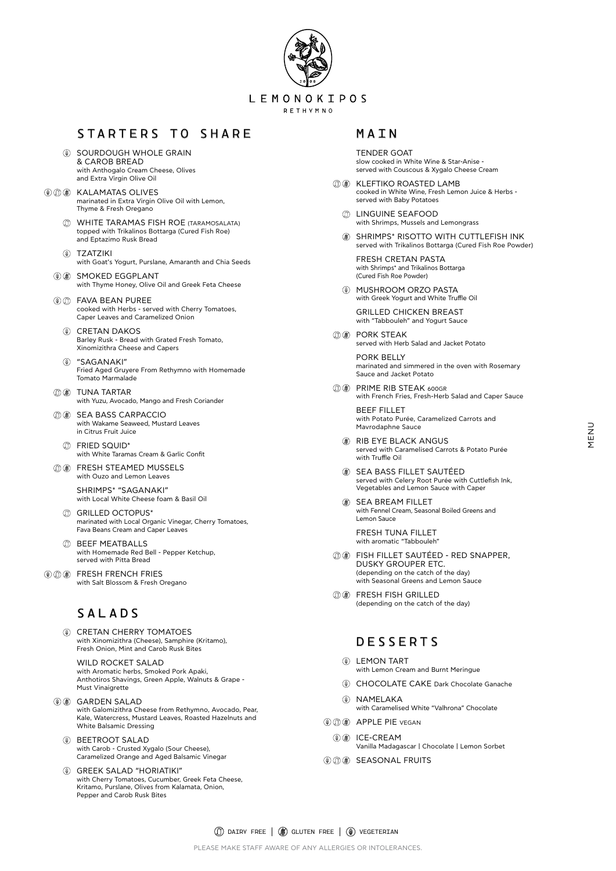

## STARTERS TO SHARE

- **(0) SOURDOUGH WHOLE GRAIN** & CAROB BREAD with Anthogalo Cream Cheese, Olives and Extra Virgin Olive Oil
- **(0)** (0) (8) KALAMATAS OLIVES marinated in Extra Virgin Olive Oil with Lemon, Thyme & Fresh Oregano
	- WHITE TARAMAS FISH ROE (TARAMOSALATA) topped with Trikalinos Bottarga (Cured Fish Roe) and Eptazimo Rusk Bread
	- ΤΖΑΤΖΙΚΙ with Goat's Yogurt, Purslane, Amaranth and Chia Seeds
	- **(0) 88 SMOKED EGGPLANT** with Thyme Honey, Olive Oil and Greek Feta Cheese
	- FAVA BEAN PUREE cooked with Herbs - served with Cherry Tomatoes, Caper Leaves and Caramelized Onion
		- CRETAN DAKOS Barley Rusk - Bread with Grated Fresh Tomato, Xinomizithra Cheese and Capers
		- "SAGANAKI" Fried Aged Gruyere From Rethymno with Homemade Tomato Marmalade
	- **① ⑧ TUNA TARTAR** with Yuzu, Avocado, Mango and Fresh Coriander
	- **(ii) OB SEA BASS CARPACCIO** with Wakame Seaweed, Mustard Leaves in Citrus Fruit Juice
		- FRIED SQUID\* with White Taramas Cream & Garlic Confit
	- *COO* FRESH STEAMED MUSSELS with Ouzo and Lemon Leaves

- *CD* GRILLED OCTOPUS\* marinated with Local Organic Vinegar, Cherry Tomatoes, Fava Beans Cream and Caper Leaves
- *C* BEEF MEATBALLS with Homemade Red Bell - Pepper Ketchup, served with Pitta Bread
- **OOO** FRESH FRENCH FRIES with Salt Blossom & Fresh Oregano

SHRΙMPS\* "SAGANAKI" with Local White Cheese foam & Basil Oil

- **(ii) ® KLEFTIKO ROASTED LAMB** cooked in White Wine, Fresh Lemon Juice & Herbs served with Baby Potatoes
	- LINGUINE SEAFOOD with Shrimps, Mussels and Lemongrass
	- SHRIMPS\* RISOTTO WITH CUTTLEFISH INK served with Trikalinos Bottarga (Cured Fish Roe Powder)

 $\circledcirc$ MUSHROOM ORZO PASTA with Greek Yogurt and White Truffle Oil

## SALADS

**(ii) ® PORK STEAK** served with Herb Salad and Jacket Potato

CRETAN CHERRY TOMATOES with Xinomizithra (Cheese), Samphire (Kritamo), Fresh Onion, Mint and Carob Rusk Bites

**CO ® PRIME RIB STEAK 600GR** with French Fries, Fresh-Herb Salad and Caper Sauce

#### WILD ROCKET SALAD

with Aromatic herbs, Smoked Pork Apaki, Anthotiros Shavings, Green Apple, Walnuts & Grape - Must Vinaigrette

#### **WE GARDEN SALAD**

with Galomizithra Cheese from Rethymno, Avocado, Pear, Kale, Watercress, Mustard Leaves, Roasted Hazelnuts and White Balsamic Dressing

- LEMON TART  $\circledast$ with Lemon Cream and Burnt Meringue
- CHOCOLATE CAKE Dark Chocolate Ganache
- NAMELΑKA with Caramelised White "Valhrona" Chocolate
- **(4)** (1) (4) APPLE PIE VEGAN
	- **10 B** ICE-CREAM Vanilla Madagascar | Chocolate | Lemon Sorbet
- **O O SEASONAL FRUITS**

#### BEETROOT SALAD

with Carob - Crusted Xygalo (Sour Cheese), Caramelized Orange and Aged Balsamic Vinegar

#### GREEK SALAD "HORIATIKI"

with Cherry Tomatoes, Cucumber, Greek Feta Cheese, Kritamo, Purslane, Olives from Kalamata, Onion, Pepper and Carob Rusk Bites

PLEASE MAKE STAFF AWARE OF ANY ALLERGIES OR INTOLERANCES.

### MAIN

TENDER GOAT slow cooked in White Wine & Star-Anise served with Couscous & Xygalo Cheese Cream

FRESH CRETAN PASTA with Shrimps\* and Trikalinos Bottarga (Cured Fish Roe Powder)

GRILLED CHICKEN BREAST with "Tabbouleh" and Yogurt Sauce

PORK BELLY marinated and simmered in the oven with Rosemary Sauce and Jacket Potato

BEEF FILLET with Potato Purée, Caramelized Carrots and Mavrodaphne Sauce

- RIB EYΕ BLACK ANGUS served with Caramelised Carrots & Potato Purée with Truffle Oil
- SEA BASS FILLET SAUTÉED served with Celery Root Purée with Cuttlefish Ink, Vegetables and Lemon Sauce with Caper
- SEA BREAM FILLET with Fennel Cream, Seasonal Boiled Greens and Lemon Sauce

FRESH TUNA FILLET with aromatic "Tabbouleh"

- FISH FILLET SAUTÉED RED SNAPPER, DUSKY GROUPER ETC. (depending on the catch of the day) with Seasonal Greens and Lemon Sauce
- *<b>O C* FRESH FISH GRILLED (depending on the catch of the day)

### DESSERTS